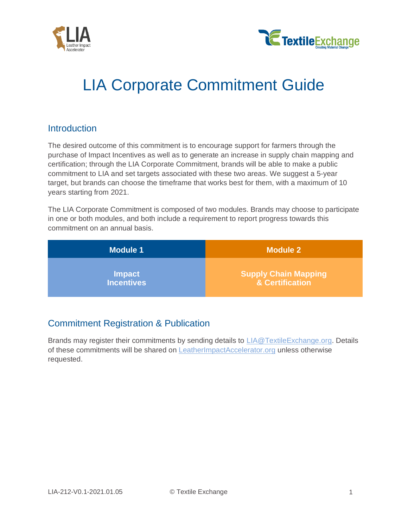



# LIA Corporate Commitment Guide

## **Introduction**

The desired outcome of this commitment is to encourage support for farmers through the purchase of Impact Incentives as well as to generate an increase in supply chain mapping and certification; through the LIA Corporate Commitment, brands will be able to make a public commitment to LIA and set targets associated with these two areas. We suggest a 5-year target, but brands can choose the timeframe that works best for them, with a maximum of 10 years starting from 2021.

The LIA Corporate Commitment is composed of two modules. Brands may choose to participate in one or both modules, and both include a requirement to report progress towards this commitment on an annual basis.

| <b>Module 1</b>   | <b>Module 2</b>             |
|-------------------|-----------------------------|
| <b>Impact</b>     | <b>Supply Chain Mapping</b> |
| <b>Incentives</b> | & Certification             |

# Commitment Registration & Publication

Brands may register their commitments by sending details to [LIA@TextileExchange.org.](mailto:LIA@TextileExchange.org) Details of these commitments will be shared on [LeatherImpactAccelerator.org](http://leatherimpactaccelerator.org/) unless otherwise requested.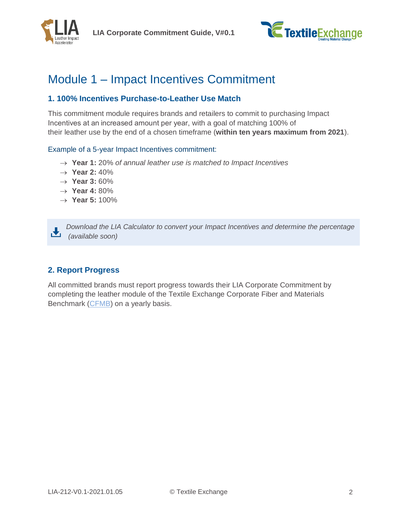

**LIA Corporate Commitment Guide, V#0.1**



# Module 1 – Impact Incentives Commitment

### **1. 100% Incentives Purchase-to-Leather Use Match**

This commitment module requires brands and retailers to commit to purchasing Impact Incentives at an increased amount per year, with a goal of matching 100% of their leather use by the end of a chosen timeframe (**within ten years maximum from 2021**).

#### Example of a 5-year Impact Incentives commitment:

- → **Year 1:** 20% *of annual leather use is matched to Impact Incentives*
- → **Year 2:** 40%
- → **Year 3:** 60%
- → **Year 4:** 80%
- → **Year 5:** 100%

*Download the LIA Calculator to convert your Impact Incentives and determine the percentage* 齿 *(available soon)*

### **2. Report Progress**

All committed brands must report progress towards their LIA Corporate Commitment by completing the leather module of the Textile Exchange Corporate Fiber and Materials Benchmark [\(CFMB\)](https://textileexchange.org/cfmb/) on a yearly basis.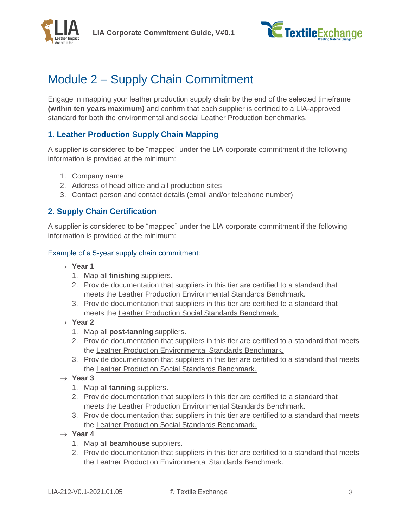



# Module 2 – Supply Chain Commitment

Engage in mapping your leather production supply chain by the end of the selected timeframe **(within ten years maximum)** and confirm that each supplier is certified to a LIA-approved standard for both the environmental and social Leather Production benchmarks.

### **1. Leather Production Supply Chain Mapping**

A supplier is considered to be "mapped" under the LIA corporate commitment if the following information is provided at the minimum:

- 1. Company name
- 2. Address of head office and all production sites
- 3. Contact person and contact details (email and/or telephone number)

### **2. Supply Chain Certification**

A supplier is considered to be "mapped" under the LIA corporate commitment if the following information is provided at the minimum:

#### Example of a 5-year supply chain commitment:

- → **Year 1**
	- 1. Map all **finishing** suppliers.
	- 2. Provide documentation that suppliers in this tier are certified to a standard that meets the Leather Production Environmental Standards Benchmark.
	- 3. Provide documentation that suppliers in this tier are certified to a standard that meets the Leather Production Social Standards Benchmark.
- → **Year 2**
	- 1. Map all **post-tanning** suppliers.
	- 2. Provide documentation that suppliers in this tier are certified to a standard that meets the Leather Production Environmental Standards Benchmark.
	- 3. Provide documentation that suppliers in this tier are certified to a standard that meets the Leather Production Social Standards Benchmark.
- → **Year 3**
	- 1. Map all **tanning** suppliers.
	- 2. Provide documentation that suppliers in this tier are certified to a standard that meets the Leather Production Environmental Standards Benchmark.
	- 3. Provide documentation that suppliers in this tier are certified to a standard that meets the Leather Production Social Standards Benchmark.
- $\rightarrow$  **Year 4** 
	- 1. Map all **beamhouse** suppliers.
	- 2. Provide documentation that suppliers in this tier are certified to a standard that meets the Leather Production Environmental Standards Benchmark.